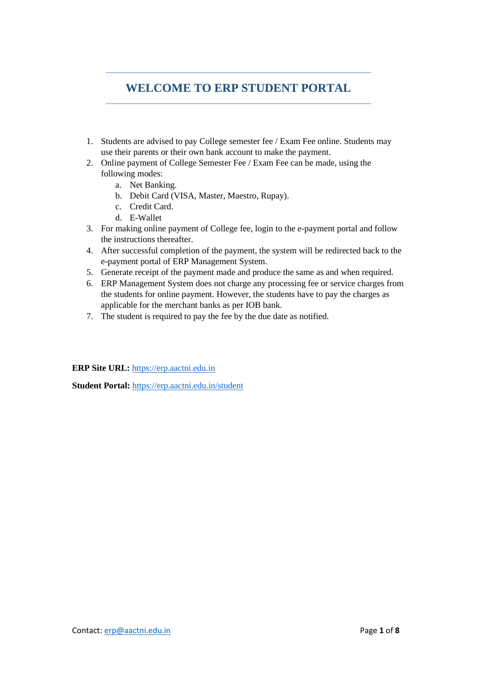# **WELCOME TO ERP STUDENT PORTAL**

- 1. Students are advised to pay College semester fee / Exam Fee online. Students may use their parents or their own bank account to make the payment.
- 2. Online payment of College Semester Fee / Exam Fee can be made, using the following modes:
	- a. Net Banking.
	- b. Debit Card (VISA, Master, Maestro, Rupay).
	- c. Credit Card.
	- d. E-Wallet
- 3. For making online payment of College fee, login to the e-payment portal and follow the instructions thereafter.
- 4. After successful completion of the payment, the system will be redirected back to the e-payment portal of ERP Management System.
- 5. Generate receipt of the payment made and produce the same as and when required.
- 6. ERP Management System does not charge any processing fee or service charges from the students for online payment. However, the students have to pay the charges as applicable for the merchant banks as per IOB bank.
- 7. The student is required to pay the fee by the due date as notified.

**ERP Site URL:** [https://erp.aactni.edu.in](https://erp.aactni.edu.in/)

**Student Portal:** <https://erp.aactni.edu.in/student>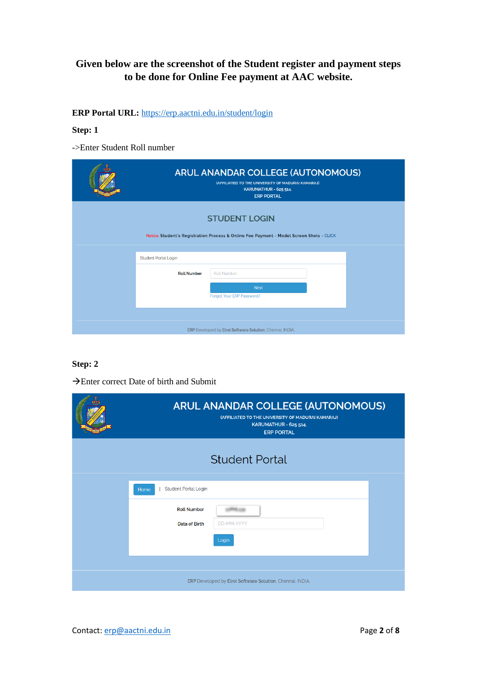## **Given below are the screenshot of the Student register and payment steps to be done for Online Fee payment at AAC website.**

**ERP Portal URL:** <https://erp.aactni.edu.in/>student/login

#### **Step: 1**

->Enter Student Roll number

| <b>ARUL ANANDAR COLLEGE (AUTONOMOUS)</b><br>(AFFILIATED TO THE UNIVERSITY OF MADURAI KAMARAJ)<br>KARUMATHUR - 625 514.<br><b>ERP PORTAL</b> |                                                                                                                  |  |  |  |
|---------------------------------------------------------------------------------------------------------------------------------------------|------------------------------------------------------------------------------------------------------------------|--|--|--|
|                                                                                                                                             | <b>STUDENT LOGIN</b><br>Notice: Student's Registration Process & Online Fee Payment - Model Screen Shots - CLICK |  |  |  |
| <b>Student Portal Login</b><br><b>Roll Number</b>                                                                                           | <b>Roll Number</b><br><b>Next</b><br>Forgot Your ERP Password?                                                   |  |  |  |
|                                                                                                                                             | ERP Developed by Elroi Software Solution, Chennai, INDIA.                                                        |  |  |  |

#### **Step: 2**

| <b>Student Portal</b>                                      |
|------------------------------------------------------------|
| <b>Student Portal Login</b><br>Home                        |
| <b>Roll Number</b><br>Data of Birth<br>DD-MM-YYYY<br>Login |
| ERP Developed by Elroi Software Solution, Chennai, INDIA.  |

→Enter correct Date of birth and Submit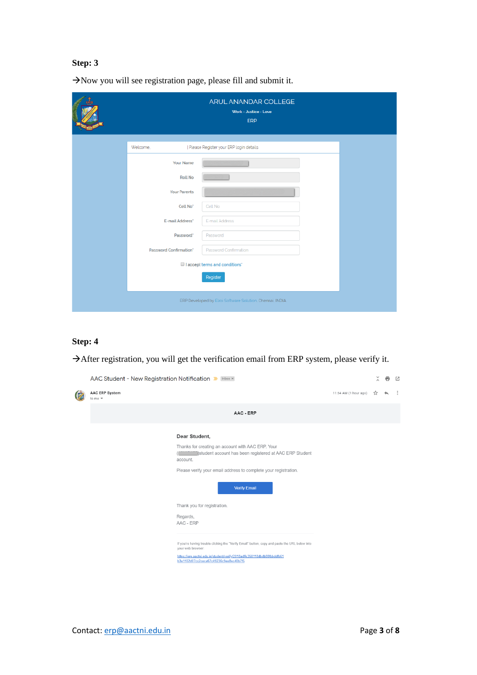|                        | ARUL ANANDAR COLLEGE<br>Work - Justice - Love<br>ERP      |  |
|------------------------|-----------------------------------------------------------|--|
| Welcome.               | Please Register your ERP login details                    |  |
| Your Name              |                                                           |  |
| <b>Roll No</b>         |                                                           |  |
| <b>Your Parents</b>    |                                                           |  |
| Cell No <sup>*</sup>   | Cell No                                                   |  |
| E-mail Address*        | E-mail Address                                            |  |
| Password <sup>*</sup>  | Password                                                  |  |
| Password Confirmation* | Password Confirmation                                     |  |
|                        | I accept terms and conditions'                            |  |
|                        | Register                                                  |  |
|                        | ERP Developed by Elroi Software Solution, Chennai, INDIA. |  |

→Now you will see registration page, please fill and submit it.

### **Step: 4**

→After registration, you will get the verification email from ERP system, please verify it.

| AAC Student - New Registration Notification D [Inbox x]                                                                                                                                                                                                                                          | $\tilde{\lambda}$ | e | Ø |
|--------------------------------------------------------------------------------------------------------------------------------------------------------------------------------------------------------------------------------------------------------------------------------------------------|-------------------|---|---|
| <b>AAC ERP System</b><br>11:54 AM (1 hour ago)<br>to me $\sqrt{*}$                                                                                                                                                                                                                               | ۳,                |   |   |
| AAC - ERP                                                                                                                                                                                                                                                                                        |                   |   |   |
| Dear Student,<br>Thanks for creating an account with AAC ERP. Your<br>student account has been registered at AAC ERP Student<br>account.<br>Please verify your email address to complete your registration.<br><b>Verify Email</b>                                                               |                   |   |   |
| Thank you for registration.<br>Regards,<br>AAC - ERP<br>If you're having trouble clicking the "Verify Email" button, copy and paste the URL below into<br>your web browser:<br>https://erp.aactni.edu.in/student/verify/2018adffc358118dbdb80fbbddfb61<br>b3a1102d07cc2ceca67c49236c9ee8ec40b7f5 |                   |   |   |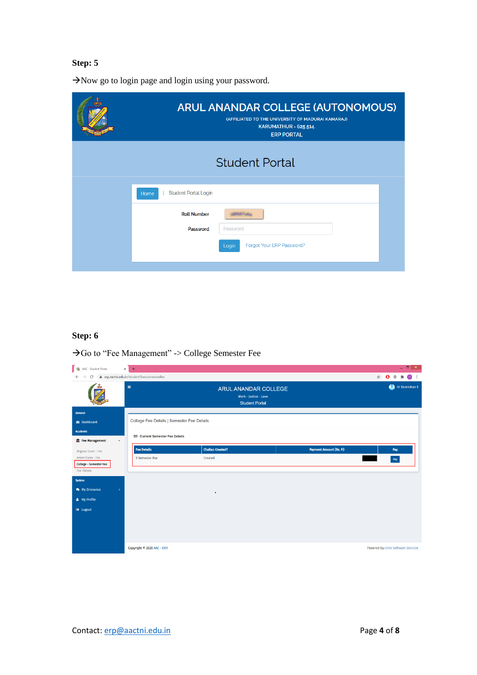→Now go to login page and login using your password.

| <b>ARUL ANANDAR COLLEGE (AUTONOMOUS)</b><br>(AFFILIATED TO THE UNIVERSITY OF MADURAI KAMARAJ)<br>KARUMATHUR - 625 514.<br><b>ERP PORTAL</b> |  |
|---------------------------------------------------------------------------------------------------------------------------------------------|--|
| <b>Student Portal</b>                                                                                                                       |  |
| <b>Student Portal Login</b><br>Home                                                                                                         |  |
| <b>Roll Number</b>                                                                                                                          |  |
| Password<br>Password                                                                                                                        |  |
| Forgot Your ERP Password?<br>Login                                                                                                          |  |
|                                                                                                                                             |  |

### **Step: 6**

→Go to "Fee Management" -> College Semester Fee

| 4. AAC - Student Portal                            | $\times$<br>$+$                              |                                                                        |                         | $   -$                                                                                                     |
|----------------------------------------------------|----------------------------------------------|------------------------------------------------------------------------|-------------------------|------------------------------------------------------------------------------------------------------------|
| C                                                  | ● erp.aactni.edu.in/student/fees/semesterfee |                                                                        |                         | $\bullet$ :<br>$\qquad \qquad \, \hat{\mathbf{r}} \qquad \qquad \mathbf{O} \qquad \, \mathbf{0}$<br>$\ast$ |
|                                                    | $\equiv$                                     | ARUL ANANDAR COLLEGE<br>Work - Justice - Love<br><b>Student Portal</b> |                         | Hi Surendran S                                                                                             |
| General                                            |                                              |                                                                        |                         |                                                                                                            |
| <b>B</b> Dashboard                                 | College Fee Details   Semester Fee Details   |                                                                        |                         |                                                                                                            |
| <b>Academic</b>                                    | Current Semester Fee Details                 |                                                                        |                         |                                                                                                            |
| Free Management<br>$\sim$                          |                                              |                                                                        |                         |                                                                                                            |
| Regular Exam - Fee                                 | <b>Fee Details</b>                           | <b>Challan Created?</b>                                                | Payment Amount (Rs. P.) | Pay                                                                                                        |
| Arrear Exam - Fee<br><b>College - Semester Fee</b> | 5 Semester Fee                               | Created                                                                |                         | Pay                                                                                                        |
| Fee History                                        |                                              |                                                                        |                         |                                                                                                            |
| System                                             |                                              |                                                                        |                         |                                                                                                            |
| My Grievance<br>$\langle$                          |                                              | $\blacksquare$                                                         |                         |                                                                                                            |
| <b>A</b> My Profile                                |                                              |                                                                        |                         |                                                                                                            |
| <b>■ Logout</b>                                    |                                              |                                                                        |                         |                                                                                                            |
|                                                    |                                              |                                                                        |                         |                                                                                                            |
|                                                    |                                              |                                                                        |                         |                                                                                                            |
|                                                    |                                              |                                                                        |                         |                                                                                                            |
|                                                    | Copyright © 2020 AAC - ERP.                  |                                                                        |                         | Powered by: Elroi Software Solution                                                                        |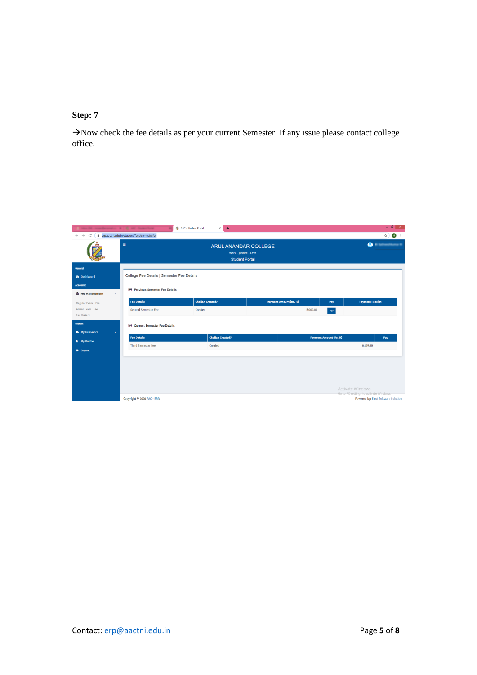→Now check the fee details as per your current Semester. If any issue please contact college office.

|                                  | 30 mondays and 1 C att humstong            | AAC - Student Portal<br>$\times$ +                                            |                                |          |                                | $- 5x$                                                                        |  |
|----------------------------------|--------------------------------------------|-------------------------------------------------------------------------------|--------------------------------|----------|--------------------------------|-------------------------------------------------------------------------------|--|
| C<br>$\leftarrow$ $\rightarrow$  | erp.aactni.edu.in/student/fees/semesterfee |                                                                               |                                |          |                                | $\mathbf{M}$<br>☆)                                                            |  |
|                                  | $\equiv$                                   | <b>ARUL ANANDAR COLLEGE</b><br>Work - Justice - Love<br><b>Student Portal</b> |                                |          |                                | <b>O</b> Il Satheasthloma in                                                  |  |
| <b>General</b>                   |                                            |                                                                               |                                |          |                                |                                                                               |  |
| <b>B</b> Dashboard               | College Fee Details   Semester Fee Details |                                                                               |                                |          |                                |                                                                               |  |
| <b>Academic</b>                  |                                            |                                                                               |                                |          |                                |                                                                               |  |
| Fee Management<br>$\sim$         | Previous Semester Fee Details              |                                                                               |                                |          |                                |                                                                               |  |
| Regular Exam - Fee               | <b>Fee Details</b>                         | <b>Challan Created?</b>                                                       | <b>Payment Amount (Rs. P.)</b> |          | Pay                            | <b>Payment Receipt</b>                                                        |  |
| Arrear Exam - Fee<br>Fee History | Second Semester Fee                        | Created                                                                       |                                | 5,000.00 | $_{\rm Pay}$                   |                                                                               |  |
| System                           |                                            |                                                                               |                                |          |                                |                                                                               |  |
| My Grievance<br>$\prec$          | Current Semester Fee Details               |                                                                               |                                |          |                                |                                                                               |  |
|                                  | <b>Fee Details</b>                         | <b>Challan Created?</b>                                                       |                                |          | <b>Payment Amount (Rs. P.)</b> | Pay                                                                           |  |
| <b>A</b> My Profile              | <b>Third Semester Fee</b>                  | Created                                                                       |                                |          |                                | 6,459.00                                                                      |  |
| <b>■ Logout</b>                  |                                            |                                                                               |                                |          |                                |                                                                               |  |
|                                  |                                            |                                                                               |                                |          |                                |                                                                               |  |
|                                  |                                            |                                                                               |                                |          |                                |                                                                               |  |
|                                  |                                            |                                                                               |                                |          |                                |                                                                               |  |
|                                  |                                            |                                                                               |                                |          |                                | Activate Windows                                                              |  |
|                                  | Copyright © 2020 AAC - ERP.                |                                                                               |                                |          |                                | Go to PC settings to activate Windows.<br>Powered by: Elroi Software Solution |  |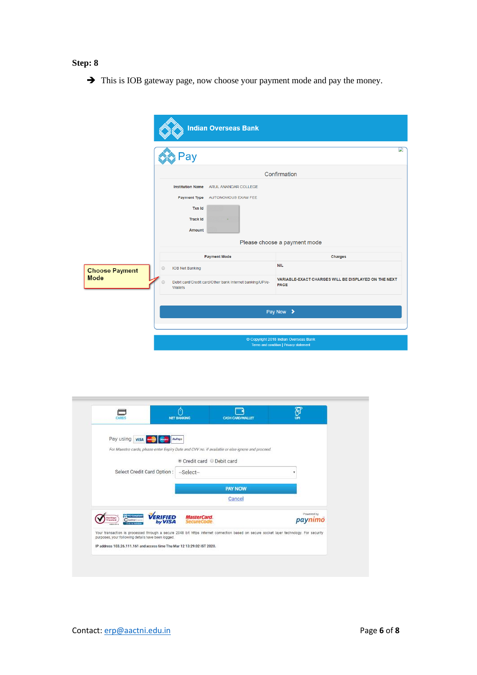➔ This is IOB gateway page, now choose your payment mode and pay the money.

|                                      | <b>Indian Overseas Bank</b>                                                                                                                    |                                                                                   |
|--------------------------------------|------------------------------------------------------------------------------------------------------------------------------------------------|-----------------------------------------------------------------------------------|
|                                      | 'ay                                                                                                                                            |                                                                                   |
|                                      |                                                                                                                                                | Confirmation                                                                      |
|                                      | Institution Name ARUL ANANDAR COLLEGE<br>Payment Type AUTONOMOUS EXAM FEE<br><b>Txn Id</b><br><b>Track Id</b><br>Amount<br><b>Payment Mode</b> | Please choose a payment mode<br>Charges                                           |
| <b>Choose Payment</b><br><b>Mode</b> | $\odot$<br><b>IOB Net Banking</b><br>Debit card/Credit card/Other bank Internet banking/UPI/e-<br>Wallets                                      | <b>NIL</b><br>VARIABLE-EXACT CHARGES WILL BE DISPLAYED ON THE NEXT<br><b>PAGE</b> |
|                                      |                                                                                                                                                | Pay Now >                                                                         |
|                                      |                                                                                                                                                | Copyright 2018 Indian Overseas Bank<br>Terms and condition   Privacy statement    |

| Pay using <b>visa</b>                                                                                                                   | RuPays                                  |                |                       |
|-----------------------------------------------------------------------------------------------------------------------------------------|-----------------------------------------|----------------|-----------------------|
| For Maestro cards, please enter Expiry Date and CVV no. if available or else ignore and proceed.                                        |                                         |                |                       |
|                                                                                                                                         | Credit card © Debit card                |                |                       |
| Select Credit Card Option:                                                                                                              | --Select--                              |                |                       |
|                                                                                                                                         |                                         | <b>PAY NOW</b> |                       |
|                                                                                                                                         |                                         | Cancel         |                       |
| VERIFIED<br><b>Co</b> PCI Compilant<br><b>Fertilian</b><br>CControl Coos<br>Trasted<br>by VISA<br>Click to Validate<br>$188 - 175$      | <b>MasterCard.</b><br><b>SecureCode</b> |                | Powered by<br>paynimo |
| Your transaction is processed through a secure 2048 bit https internet connection based on secure socket layer technology. For security |                                         |                |                       |
| purposes, your following details have been logged.<br>IP address 103.26.111.161 and access time Thu Mar 12 13:29:02 IST 2020.           |                                         |                |                       |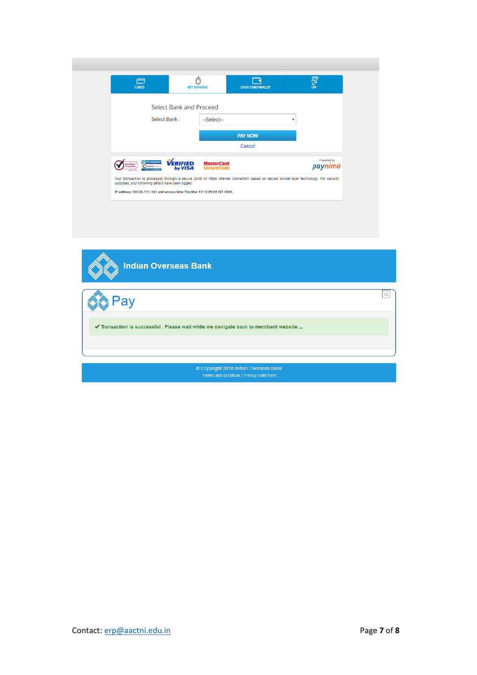| Ē<br><b>CARDS</b>                                                                                                                                                                             | ⋒<br><b>NET BANKING</b>    |                                   | <b>CASH CARD/WALLET</b> |   | 河<br>UPI              |
|-----------------------------------------------------------------------------------------------------------------------------------------------------------------------------------------------|----------------------------|-----------------------------------|-------------------------|---|-----------------------|
|                                                                                                                                                                                               | Select Bank and Proceed    |                                   |                         |   |                       |
| Select Bank:                                                                                                                                                                                  |                            | --Select--                        |                         | ۰ |                       |
|                                                                                                                                                                                               |                            |                                   | <b>PAY NOW</b>          |   |                       |
|                                                                                                                                                                                               |                            |                                   | Cancel                  |   |                       |
| <b>Cy PCI Compliant</b><br>fertitiign<br>C Control Case<br>Trusted<br>> Click to Validate<br>*******                                                                                          | <b>VERIFIED</b><br>by VISA | <b>MasterCard.</b><br>SecureCode. |                         |   | Powered by<br>paynimö |
| Your transaction is processed through a secure 2048 bit https internet connection based on secure socket layer technology. For security<br>purposes, your following details have been logged. |                            |                                   |                         |   |                       |
| IP address 103.26.111.161 and access time Thu Mar 12 13:29:02 IST 2020.                                                                                                                       |                            |                                   |                         |   |                       |